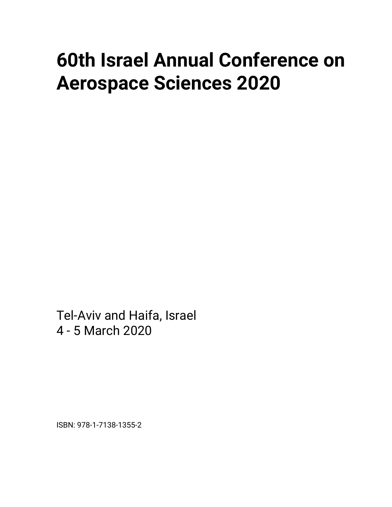# **60th Israel Annual Conference on Aerospace Sciences 2020**

Tel-Aviv and Haifa, Israel 4 - 5 March 2020

ISBN: 978-1-7138-1355-2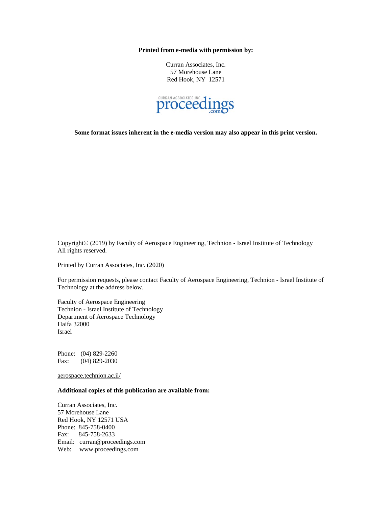**Printed from e-media with permission by:**

Curran Associates, Inc. 57 Morehouse Lane Red Hook, NY 12571



**Some format issues inherent in the e-media version may also appear in this print version.**

Copyright© (2019) by Faculty of Aerospace Engineering, Technion - Israel Institute of Technology All rights reserved.

Printed by Curran Associates, Inc. (2020)

For permission requests, please contact Faculty of Aerospace Engineering, Technion - Israel Institute of Technology at the address below.

Faculty of Aerospace Engineering Technion - Israel Institute of Technology Department of Aerospace Technology Haifa 32000 Israel

Phone: (04) 829-2260 Fax: (04) 829-2030

aerospace.technion.ac.il/

**Additional copies of this publication are available from:**

Curran Associates, Inc. 57 Morehouse Lane Red Hook, NY 12571 USA Phone: 845-758-0400 Fax: 845-758-2633 Email: curran@proceedings.com Web: www.proceedings.com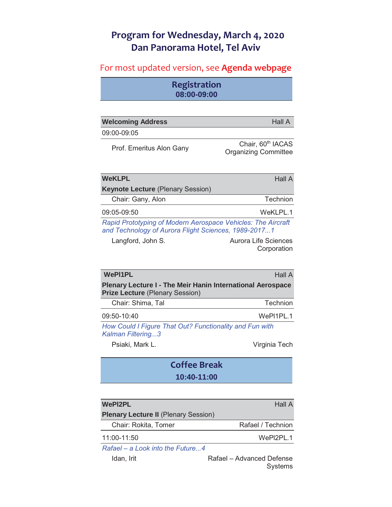### **Program for Wednesday, March 4, 2020 Dan Panorama Hotel, Tel Aviv**

### For most updated version, see Agenda webpage

**Registration 08:00-09:00**

| <b>Welcoming Address</b>                                                                                             | Hall A                                                       |
|----------------------------------------------------------------------------------------------------------------------|--------------------------------------------------------------|
| 09:00-09:05                                                                                                          |                                                              |
| Prof. Emeritus Alon Gany                                                                                             | Chair, 60 <sup>th</sup> IACAS<br><b>Organizing Committee</b> |
| <b>WeKLPL</b>                                                                                                        | <b>Hall A</b>                                                |
| <b>Keynote Lecture (Plenary Session)</b>                                                                             |                                                              |
| Chair: Gany, Alon                                                                                                    | Technion                                                     |
| 09:05-09:50                                                                                                          | WeKLPL.1                                                     |
| Rapid Prototyping of Modern Aerospace Vehicles: The Aircraft<br>and Technology of Aurora Flight Sciences, 1989-20171 |                                                              |
| Langford, John S.                                                                                                    | <b>Aurora Life Sciences</b><br>Corporation                   |

| <b>WePI1PL</b>                                                                                              | <b>Hall A</b> |
|-------------------------------------------------------------------------------------------------------------|---------------|
| <b>Plenary Lecture I - The Meir Hanin International Aerospace</b><br><b>Prize Lecture (Plenary Session)</b> |               |
| Chair: Shima, Tal                                                                                           | Technion      |
| 09:50-10:40                                                                                                 | WePI1PL.1     |
| How Could I Figure That Out? Functionality and Fun with<br>Kalman Filtering3                                |               |
| Psiaki, Mark L.                                                                                             | Virginia Tech |
| <b>Coffee Break</b>                                                                                         |               |

## **10:40-11:00 WePI2PL Hall A Plenary Lecture II** (Plenary Session)

Chair: Rokita, Tomer Rafael / Technion 11:00-11:50 WePl2PL.1

*Rafael – a Look into the Future...4*

Idan, Irit **Internative Statel – Advanced Defense** Systems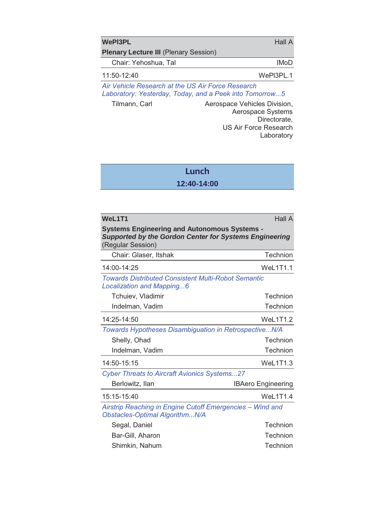| WePI3PL                                      | Hall A      |
|----------------------------------------------|-------------|
| <b>Plenary Lecture III (Plenary Session)</b> |             |
| Chair: Yehoshua, Tal                         | <b>IMoD</b> |
| $11:50-12:40$                                | WePI3PL.1   |

*Air Vehicle Research at the US Air Force Research Laboratory: Yesterday, Today, and a Peek into Tomorrow...5*

Tilmann, Carl **Aerospace Vehicles Division**, Aerospace Systems Directorate, US Air Force Research Laboratory

### **Lunch**

### **12:40-14:00**

| WeL1T1                                                                                                                                    | <b>Hall A</b>             |
|-------------------------------------------------------------------------------------------------------------------------------------------|---------------------------|
| <b>Systems Engineering and Autonomous Systems -</b><br><b>Supported by the Gordon Center for Systems Engineering</b><br>(Regular Session) |                           |
| Chair: Glaser, Itshak                                                                                                                     | Technion                  |
| 14:00-14:25                                                                                                                               | WeL1T1.1                  |
| <b>Towards Distributed Consistent Multi-Robot Semantic</b><br>Localization and Mapping6                                                   |                           |
| Tchuiev, Vladimir                                                                                                                         | Technion                  |
| Indelman, Vadim                                                                                                                           | Technion                  |
| 14:25-14:50                                                                                                                               | <b>WeL1T1.2</b>           |
| Towards Hypotheses Disambiguation in RetrospectiveN/A                                                                                     |                           |
| Shelly, Ohad                                                                                                                              | Technion                  |
| Indelman, Vadim                                                                                                                           | Technion                  |
| 14:50-15:15                                                                                                                               | <b>WeL1T1.3</b>           |
| <b>Cyber Threats to Aircraft Avionics Systems27</b>                                                                                       |                           |
| Berlowitz, Ilan                                                                                                                           | <b>IBAero Engineering</b> |
| 15:15-15:40                                                                                                                               | Wel 1T1 4                 |
| Airstrip Reaching in Engine Cutoff Emergencies - Wind and<br>Obstacles-Optimal AlgorithmN/A                                               |                           |
| Segal, Daniel                                                                                                                             | Technion                  |
| Bar-Gill, Aharon                                                                                                                          | Technion                  |
| Shimkin, Nahum                                                                                                                            | Technion                  |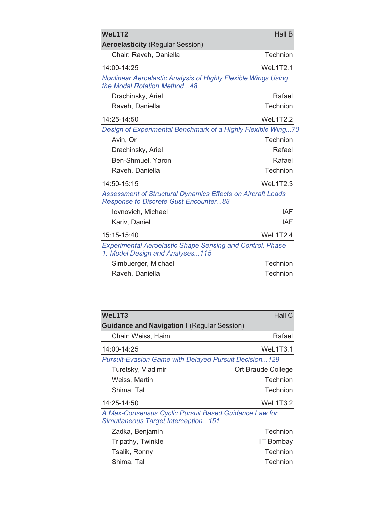| WeL1T2                                                                                                      | <b>Hall B</b>   |
|-------------------------------------------------------------------------------------------------------------|-----------------|
| <b>Aeroelasticity (Regular Session)</b>                                                                     |                 |
| Chair: Raveh, Daniella                                                                                      | Technion        |
| 14:00-14:25                                                                                                 | <b>WeL1T2.1</b> |
| Nonlinear Aeroelastic Analysis of Highly Flexible Wings Using<br>the Modal Rotation Method48                |                 |
| Drachinsky, Ariel                                                                                           | Rafael          |
| Raveh, Daniella                                                                                             | Technion        |
| 14:25-14:50                                                                                                 | <b>WeL1T2.2</b> |
| Design of Experimental Benchmark of a Highly Flexible Wing70                                                |                 |
| Avin, Or                                                                                                    | Technion        |
| Drachinsky, Ariel                                                                                           | Rafael          |
| Ben-Shmuel, Yaron                                                                                           | Rafael          |
| Raveh, Daniella                                                                                             | Technion        |
| 14:50-15:15                                                                                                 | <b>WeL1T2.3</b> |
| Assessment of Structural Dynamics Effects on Aircraft Loads<br><b>Response to Discrete Gust Encounter88</b> |                 |
| Iovnovich, Michael                                                                                          | IAF             |
| Kariv, Daniel                                                                                               | IAF             |
| 15:15-15:40                                                                                                 | WeL1T2.4        |
| <b>Experimental Aeroelastic Shape Sensing and Control, Phase</b><br>1: Model Design and Analyses115         |                 |
| Simbuerger, Michael                                                                                         | Technion        |
| Raveh, Daniella                                                                                             | Technion        |

| WeL1T3                                                       | Hall C             |
|--------------------------------------------------------------|--------------------|
| <b>Guidance and Navigation I (Regular Session)</b>           |                    |
| Chair: Weiss, Haim                                           | Rafael             |
| 14:00-14:25                                                  | WeL1T3.1           |
| <b>Pursuit-Evasion Game with Delayed Pursuit Decision129</b> |                    |
| Turetsky, Vladimir                                           | Ort Braude College |
| Weiss, Martin                                                | Technion           |
| Shima, Tal                                                   | Technion           |
| 14:25-14:50                                                  | WeL1T3.2           |
| A Max-Consensus Cyclic Pursuit Based Guidance Law for        |                    |

*Simultaneous Target Interception...151*

| Zadka, Benjamin   | Technion          |
|-------------------|-------------------|
| Tripathy, Twinkle | <b>IIT Bombay</b> |
| Tsalik, Ronny     | Technion          |
| Shima, Tal        | Technion          |
|                   |                   |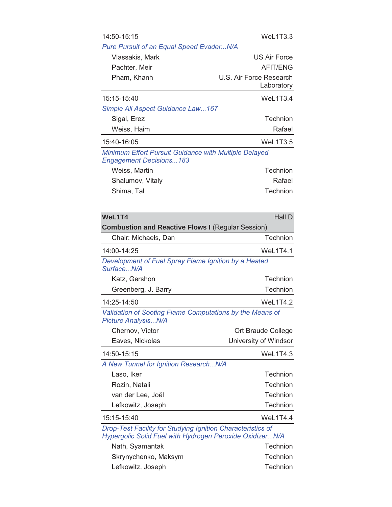| 14:50-15:15                                                                                                             | WeL1T3.3                              |
|-------------------------------------------------------------------------------------------------------------------------|---------------------------------------|
| Pure Pursuit of an Equal Speed EvaderN/A                                                                                |                                       |
| Vlassakis, Mark                                                                                                         | <b>US Air Force</b>                   |
| Pachter, Meir                                                                                                           | <b>AFIT/ENG</b>                       |
| Pham, Khanh                                                                                                             | U.S. Air Force Research<br>Laboratory |
| 15:15-15:40                                                                                                             | WeL1T3.4                              |
| Simple All Aspect Guidance Law167                                                                                       |                                       |
| Sigal, Erez                                                                                                             | Technion                              |
| Weiss, Haim                                                                                                             | Rafael                                |
| 15:40-16:05                                                                                                             | <b>WeL1T3.5</b>                       |
| Minimum Effort Pursuit Guidance with Multiple Delayed<br><b>Engagement Decisions183</b>                                 |                                       |
| Weiss, Martin                                                                                                           | Technion                              |
| Shalumov, Vitaly                                                                                                        | Rafael                                |
| Shima, Tal                                                                                                              | Technion                              |
|                                                                                                                         |                                       |
| WeL1T4                                                                                                                  | Hall D                                |
| <b>Combustion and Reactive Flows I (Regular Session)</b>                                                                |                                       |
| Chair: Michaels, Dan                                                                                                    | Technion                              |
| 14:00-14:25                                                                                                             | WeL1T4.1                              |
| Development of Fuel Spray Flame Ignition by a Heated<br>SurfaceN/A                                                      |                                       |
| Katz, Gershon                                                                                                           | Technion                              |
| Greenberg, J. Barry                                                                                                     | Technion                              |
| 14:25-14:50                                                                                                             | <b>WeL1T4.2</b>                       |
| Validation of Sooting Flame Computations by the Means of<br>Picture AnalysisN/A                                         |                                       |
| Chernov, Victor                                                                                                         | Ort Braude College                    |
| Eaves, Nickolas                                                                                                         | University of Windsor                 |
| 14:50-15:15                                                                                                             | <b>WeL1T4.3</b>                       |
| A New Tunnel for Ignition ResearchN/A                                                                                   |                                       |
| Laso, Iker                                                                                                              | Technion                              |
| Rozin, Natali                                                                                                           | Technion                              |
| van der Lee, Joël                                                                                                       | Technion                              |
| Lefkowitz, Joseph                                                                                                       | Technion                              |
| 15:15-15:40                                                                                                             | WeL1T4.4                              |
| Drop-Test Facility for Studying Ignition Characteristics of<br>Hypergolic Solid Fuel with Hydrogen Peroxide OxidizerN/A |                                       |

| Nath, Syamantak      | Technion |
|----------------------|----------|
| Skrynychenko, Maksym | Technion |
| Lefkowitz, Joseph    | Technion |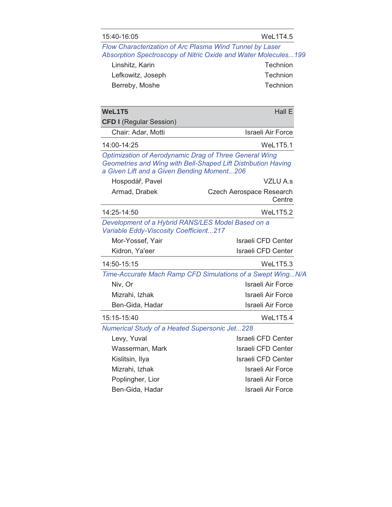| 15:40-16:05 |  |  |  |
|-------------|--|--|--|
|-------------|--|--|--|

| Flow Characterization of Arc Plasma Wind Tunnel by Laser                                                                                                                     | Absorption Spectroscopy of Nitric Oxide and Water Molecules199 |
|------------------------------------------------------------------------------------------------------------------------------------------------------------------------------|----------------------------------------------------------------|
| Linshitz, Karin                                                                                                                                                              | Technion                                                       |
| Lefkowitz, Joseph                                                                                                                                                            | Technion                                                       |
| Berreby, Moshe                                                                                                                                                               | Technion                                                       |
|                                                                                                                                                                              |                                                                |
| WeL1T5                                                                                                                                                                       | Hall E                                                         |
| <b>CFD I (Regular Session)</b>                                                                                                                                               |                                                                |
| Chair: Adar, Motti                                                                                                                                                           | <b>Israeli Air Force</b>                                       |
| 14:00-14:25                                                                                                                                                                  | <b>WeL1T5.1</b>                                                |
| <b>Optimization of Aerodynamic Drag of Three General Wing</b><br>Geometries and Wing with Bell-Shaped Lift Distribution Having<br>a Given Lift and a Given Bending Moment206 |                                                                |
| Hospodář, Pavel                                                                                                                                                              | VZLU A.s                                                       |
| Armad, Drabek                                                                                                                                                                | Czech Aerospace Research<br>Centre                             |
| 14:25-14:50                                                                                                                                                                  | WeL1T5.2                                                       |
| Development of a Hybrid RANS/LES Model Based on a<br>Variable Eddy-Viscosity Coefficient217                                                                                  |                                                                |
| Mor-Yossef, Yair                                                                                                                                                             | <b>Israeli CFD Center</b>                                      |
| Kidron, Ya'eer                                                                                                                                                               | <b>Israeli CFD Center</b>                                      |
| 14:50-15:15                                                                                                                                                                  | WeL1T5.3                                                       |
|                                                                                                                                                                              | Time-Accurate Mach Ramp CFD Simulations of a Swept WingN/A     |
| Niv, Or                                                                                                                                                                      | <b>Israeli Air Force</b>                                       |
| Mizrahi, Izhak                                                                                                                                                               | Israeli Air Force                                              |
| Ben-Gida, Hadar                                                                                                                                                              | <b>Israeli Air Force</b>                                       |
| 15:15-15:40                                                                                                                                                                  | WeL1T5.4                                                       |
| <b>Numerical Study of a Heated Supersonic Jet228</b>                                                                                                                         |                                                                |
| Levy, Yuval                                                                                                                                                                  | <b>Israeli CFD Center</b>                                      |
| Wasserman, Mark                                                                                                                                                              | <b>Israeli CFD Center</b>                                      |
| Kislitsin, Ilya                                                                                                                                                              | <b>Israeli CFD Center</b>                                      |
| Mizrahi, Izhak                                                                                                                                                               | Israeli Air Force                                              |
| Poplingher, Lior                                                                                                                                                             | Israeli Air Force                                              |
| Ben-Gida, Hadar                                                                                                                                                              | <b>Israeli Air Force</b>                                       |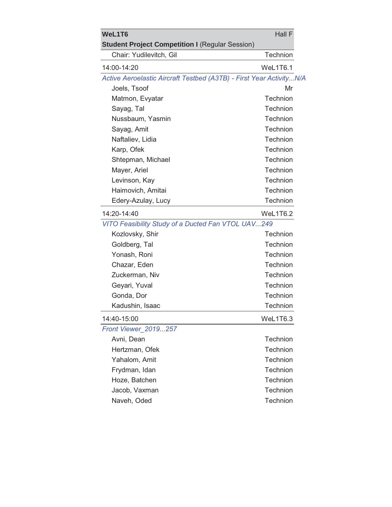| WeL1T6                                                              | Hall F   |
|---------------------------------------------------------------------|----------|
| <b>Student Project Competition I (Regular Session)</b>              |          |
| Chair: Yudilevitch, Gil                                             | Technion |
| 14:00-14:20                                                         | WeL1T6.1 |
| Active Aeroelastic Aircraft Testbed (A3TB) - First Year ActivityN/A |          |
| Joels, Tsoof                                                        | Mr       |
| Matmon, Evyatar                                                     | Technion |
| Sayag, Tal                                                          | Technion |
| Nussbaum, Yasmin                                                    | Technion |
| Sayag, Amit                                                         | Technion |
| Naftaliev, Lidia                                                    | Technion |
| Karp, Ofek                                                          | Technion |
| Shtepman, Michael                                                   | Technion |
| Mayer, Ariel                                                        | Technion |
| Levinson, Kay                                                       | Technion |
| Haimovich, Amitai                                                   | Technion |
| Edery-Azulay, Lucy                                                  | Technion |
| 14:20-14:40                                                         | WeL1T6.2 |
| VITO Feasibility Study of a Ducted Fan VTOL UAV249                  |          |
| Kozlovsky, Shir                                                     | Technion |
| Goldberg, Tal                                                       | Technion |
| Yonash, Roni                                                        | Technion |
| Chazar, Eden                                                        | Technion |
| Zuckerman, Niv                                                      | Technion |
| Geyari, Yuval                                                       | Technion |
| Gonda, Dor                                                          | Technion |
| Kadushin, Isaac                                                     | Technion |
| 14:40-15:00                                                         | WeL1T6.3 |
| Front Viewer 2019257                                                |          |
| Avni, Dean                                                          | Technion |
| Hertzman, Ofek                                                      | Technion |
| Yahalom, Amit                                                       | Technion |
| Frydman, Idan                                                       | Technion |
| Hoze, Batchen                                                       | Technion |
| Jacob, Vaxman                                                       | Technion |
| Naveh, Oded                                                         | Technion |
|                                                                     |          |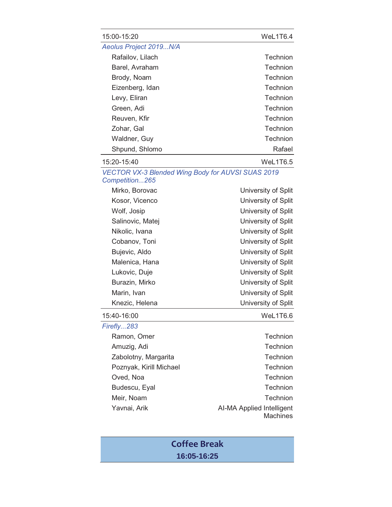| 15:00-15:20            | WeL1T6.4 |
|------------------------|----------|
| Aeolus Project 2019N/A |          |
| Rafailov, Lilach       | Technion |
| Barel, Avraham         | Technion |
| Brody, Noam            | Technion |
| Eizenberg, Idan        | Technion |
| Levy, Eliran           | Technion |
| Green, Adi             | Technion |
| Reuven, Kfir           | Technion |
| Zohar, Gal             | Technion |
| Waldner, Guy           | Technion |
| Shpund, Shlomo         | Rafael   |
| 15:20-15:40            | WeL1T6.5 |

*VECTOR VX-3 Blended Wing Body for AUVSI SUAS 2019 Competition...265*

| Mirko, Borovac   | University of Split |
|------------------|---------------------|
| Kosor, Vicenco   | University of Split |
| Wolf, Josip      | University of Split |
| Salinovic, Matej | University of Split |
| Nikolic, Ivana   | University of Split |
| Cobanov, Toni    | University of Split |
| Bujevic, Aldo    | University of Split |
| Malenica, Hana   | University of Split |
| Lukovic, Duje    | University of Split |
| Burazin, Mirko   | University of Split |
| Marin, Ivan      | University of Split |
| Knezic, Helena   | University of Split |
| 5:40-16:00       | WeL1T6.6            |

| 15:40-16:00 |
|-------------|
| Firefly283  |

| Ramon, Omer             |  |
|-------------------------|--|
| Amuzig, Adi             |  |
| Zabolotny, Margarita    |  |
| Poznyak, Kirill Michael |  |
| Oved, Noa               |  |
| Budescu, Eyal           |  |
| Meir, Noam              |  |
| Yavnai, Arik            |  |
|                         |  |

### **Technion Technion Technion** Technion Technion Technion Technion I-MA Applied Intelligent **Machines**

### **Coffee Break 16:05-16:25**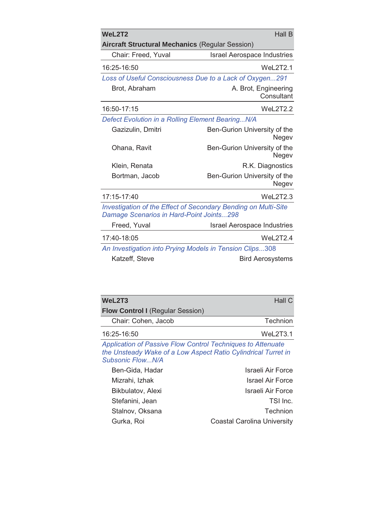| WeL2T2<br><b>Hall B</b>                                                                                    |                                       |  |
|------------------------------------------------------------------------------------------------------------|---------------------------------------|--|
| <b>Aircraft Structural Mechanics (Regular Session)</b>                                                     |                                       |  |
| Chair: Freed, Yuval                                                                                        | <b>Israel Aerospace Industries</b>    |  |
| 16:25-16:50                                                                                                | WeL2T2.1                              |  |
| Loss of Useful Consciousness Due to a Lack of Oxygen291                                                    |                                       |  |
| Brot, Abraham                                                                                              | A. Brot, Engineering<br>Consultant    |  |
| 16:50-17:15                                                                                                | WeL2T2.2                              |  |
| Defect Evolution in a Rolling Element BearingN/A                                                           |                                       |  |
| Gazizulin, Dmitri                                                                                          | Ben-Gurion University of the<br>Negev |  |
| Ohana, Ravit                                                                                               | Ben-Gurion University of the<br>Negev |  |
| Klein, Renata                                                                                              | R.K. Diagnostics                      |  |
| Bortman, Jacob                                                                                             | Ben-Gurion University of the<br>Negev |  |
| 17:15-17:40                                                                                                | WeL2T2.3                              |  |
| Investigation of the Effect of Secondary Bending on Multi-Site<br>Damage Scenarios in Hard-Point Joints298 |                                       |  |
| Freed, Yuval                                                                                               | <b>Israel Aerospace Industries</b>    |  |
| 17:40-18:05                                                                                                | WeL2T2.4                              |  |
| An Investigation into Prying Models in Tension Clips308                                                    |                                       |  |
| Katzeff, Steve                                                                                             | <b>Bird Aerosystems</b>               |  |

| WeL2T3                                  | Hall $C$ |
|-----------------------------------------|----------|
| <b>Flow Control I (Regular Session)</b> |          |
| Chair: Cohen, Jacob                     | Technion |
| 16:25-16:50                             | WeL2T3.1 |

*Application of Passive Flow Control Techniques to Attenuate the Unsteady Wake of a Low Aspect Ratio Cylindrical Turret in Subsonic Flow...N/A* 

| Israeli Air Force                  |
|------------------------------------|
| <b>Israel Air Force</b>            |
| Israeli Air Force                  |
| TSI Inc.                           |
| <b>Technion</b>                    |
| <b>Coastal Carolina University</b> |
|                                    |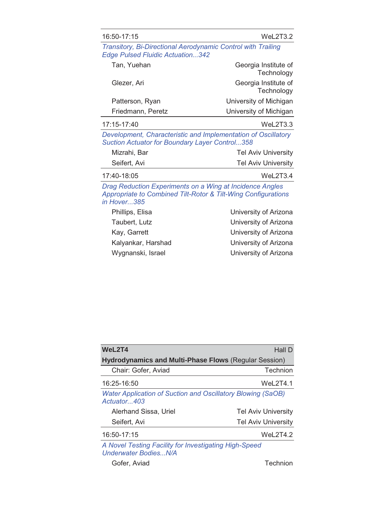### 16:50-17:15 WeL2T3.2

*Transitory, Bi-Directional Aerodynamic Control with Trailing Edge Pulsed Fluidic Actuation...342* 

| Tan, Yuehan       | Georgia Institute of<br>Technology |
|-------------------|------------------------------------|
| Glezer, Ari       | Georgia Institute of<br>Technology |
| Patterson, Ryan   | University of Michigan             |
| Friedmann, Peretz | University of Michigan             |

*Development, Characteristic and Implementation of Oscillatory Suction Actuator for Boundary Layer Control...358*

17:15-17:40 WeL2T3.3

| Mizrahi, Bar | <b>Tel Aviv University</b> |
|--------------|----------------------------|
| Seifert, Avi | <b>Tel Aviv University</b> |

| 17:40-18:05 | WeL2T3.4 |
|-------------|----------|
|             |          |

*Drag Reduction Experiments on a Wing at Incidence Angles Appropriate to Combined Tilt-Rotor & Tilt-Wing Configurations in Hover...385*

| Phillips, Elisa    | University of Arizona |
|--------------------|-----------------------|
| Taubert, Lutz      | University of Arizona |
| Kay, Garrett       | University of Arizona |
| Kalyankar, Harshad | University of Arizona |
| Wygnanski, Israel  | University of Arizona |
|                    |                       |

| WeL2T4                                                                                          | Hall D                     |
|-------------------------------------------------------------------------------------------------|----------------------------|
| <b>Hydrodynamics and Multi-Phase Flows (Regular Session)</b>                                    |                            |
| Chair: Gofer, Aviad                                                                             | Technion                   |
| 16:25-16:50                                                                                     | WeL2T4.1                   |
| <b>Water Application of Suction and Oscillatory Blowing (SaOB)</b><br>Actuator <sub>u</sub> 403 |                            |
| Alerhand Sissa, Uriel                                                                           | <b>Tel Aviv University</b> |
| Seifert, Avi                                                                                    | <b>Tel Aviv University</b> |
| 16:50-17:15                                                                                     | Wel2T4.2                   |
| A Novel Testing Facility for Investigating High-Speed                                           |                            |

*Underwater Bodies...N/A*

Gofer, Aviad **Technion**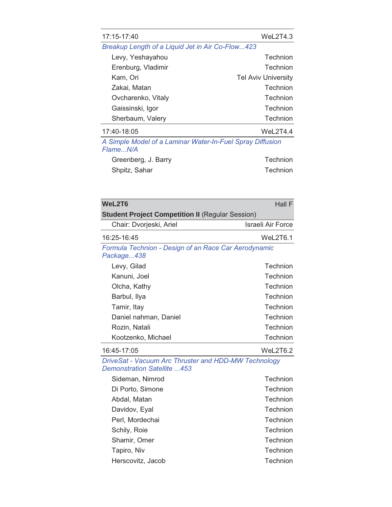| 17:15-17:40                                                           | Wel2T4.3                   |
|-----------------------------------------------------------------------|----------------------------|
| Breakup Length of a Liquid Jet in Air Co-Flow423                      |                            |
| Levy, Yeshayahou                                                      | Technion                   |
| Erenburg, Vladimir                                                    | Technion                   |
| Kam, Ori                                                              | <b>Tel Aviv University</b> |
| Zakai, Matan                                                          | Technion                   |
| Ovcharenko, Vitaly                                                    | Technion                   |
| Gaissinski, Igor                                                      | Technion                   |
| Sherbaum, Valery                                                      | Technion                   |
| 17:40-18:05                                                           | WeL2T4.4                   |
| A Simple Model of a Laminar Water-In-Fuel Spray Diffusion<br>FlameN/A |                            |

| Greenberg, J. Barry | Technion |
|---------------------|----------|
| Shpitz, Sahar       | Technion |

| WeL2T6                                                             | Hall F            |
|--------------------------------------------------------------------|-------------------|
| <b>Student Project Competition II (Regular Session)</b>            |                   |
| Chair: Dvorjeski, Ariel                                            | Israeli Air Force |
| 16:25-16:45                                                        | WeL2T6.1          |
| Formula Technion - Design of an Race Car Aerodynamic<br>Package438 |                   |
| Levy, Gilad                                                        | Technion          |
| Kanuni, Joel                                                       | Technion          |
| Olcha, Kathy                                                       | Technion          |
| Barbul, Ilya                                                       | Technion          |
| Tamir, Itay                                                        | Technion          |
| Daniel nahman, Daniel                                              | Technion          |
| Rozin, Natali                                                      | Technion          |
| Kootzenko, Michael                                                 | Technion          |
| 16:45-17:05                                                        | WeL2T6.2          |

*DriveSat - Vacuum Arc Thruster and HDD-MW Technology Demonstration Satellite ...453*

| Sideman, Nimrod   | Technion        |
|-------------------|-----------------|
| Di Porto, Simone  | <b>Technion</b> |
| Abdal, Matan      | <b>Technion</b> |
| Davidov, Eyal     | Technion        |
| Perl, Mordechai   | <b>Technion</b> |
| Schily, Roie      | <b>Technion</b> |
| Shamir, Omer      | Technion        |
| Tapiro, Niv       | <b>Technion</b> |
| Herscovitz, Jacob | Technion        |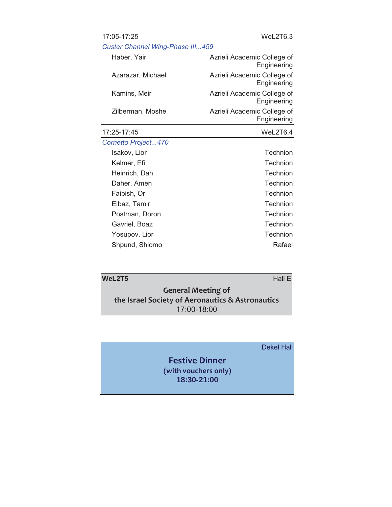| 17:05-17:25                      | WeL2T6.3                                   |
|----------------------------------|--------------------------------------------|
| Custer Channel Wing-Phase III459 |                                            |
| Haber, Yair                      | Azrieli Academic College of<br>Engineering |
| Azarazar, Michael                | Azrieli Academic College of<br>Engineering |
| Kamins, Meir                     | Azrieli Academic College of<br>Engineering |
| Zilberman, Moshe                 | Azrieli Academic College of<br>Engineering |
| 17:25-17:45                      | WeL2T6.4                                   |
| Cornetto Project470              |                                            |
| Isakov, Lior                     | Technion                                   |
| Kelmer, Efi                      | Technion                                   |
| Heinrich, Dan                    | Technion                                   |
| Daher, Amen                      | Technion                                   |
| Faibish, Or                      | Technion                                   |
| Elbaz, Tamir                     | Technion                                   |
| Postman, Doron                   | Technion                                   |
| Gavriel, Boaz                    | Technion                                   |
| Yosupov, Lior                    | Technion                                   |
| Shpund, Shlomo                   | Rafael                                     |

| WeL2T5<br>Hall $E$                               |  |
|--------------------------------------------------|--|
| <b>General Meeting of</b>                        |  |
| the Israel Society of Aeronautics & Astronautics |  |
| 17:00-18:00                                      |  |

### Dekel Hall

### **Festive Dinner (with vouchers only) 18:30-21:00**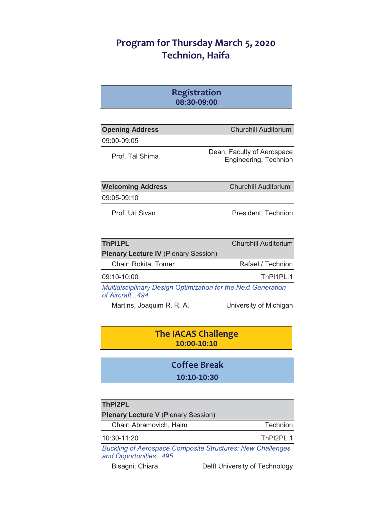### **Program for Thursday March 5, 2020 Technion, Haifa**

| <b>Registration</b> |
|---------------------|
| 08:30-09:00         |

| <b>Opening Address</b>                                                                  | <b>Churchill Auditorium</b>                         |
|-----------------------------------------------------------------------------------------|-----------------------------------------------------|
| 09:00-09:05                                                                             |                                                     |
| Prof. Tal Shima                                                                         | Dean, Faculty of Aerospace<br>Engineering, Technion |
| <b>Welcoming Address</b>                                                                | <b>Churchill Auditorium</b>                         |
| 09:05-09:10                                                                             |                                                     |
| Prof. Uri Sivan                                                                         | President, Technion                                 |
| <b>ThPI1PL</b>                                                                          | <b>Churchill Auditorium</b>                         |
| <b>Plenary Lecture IV (Plenary Session)</b>                                             |                                                     |
| Chair: Rokita, Tomer                                                                    | Rafael / Technion                                   |
| $09:10-10:00$                                                                           | ThPI1PI 1                                           |
| <b>Multidisciplinary Design Optimization for the Next Generation</b><br>of Aircraft 494 |                                                     |
| Martins, Joaquim R. R. A.                                                               | University of Michigan                              |

### **The IACAS Challenge 10:00-10:10**

### **Coffee Break 10:10-10:30**

| ThPI2PL                                    |           |
|--------------------------------------------|-----------|
| <b>Plenary Lecture V (Plenary Session)</b> |           |
| Chair: Abramovich, Haim                    | Technion  |
| 10:30-11:20                                | ThPI2PI 1 |

*Buckling of Aerospace Composite Structures: New Challenges and Opportunities...495*

Bisagni, Chiara **Delft University of Technology**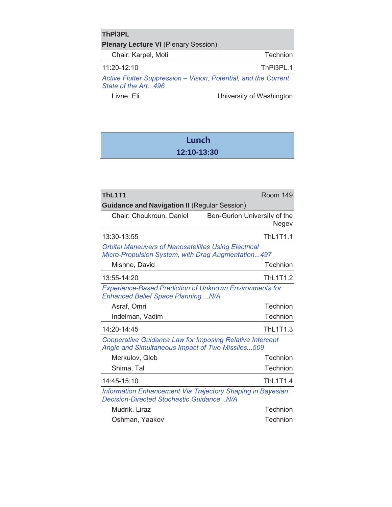| <b>ThPI3PL</b>                                                                         |           |
|----------------------------------------------------------------------------------------|-----------|
| <b>Plenary Lecture VI (Plenary Session)</b>                                            |           |
| Chair: Karpel, Moti                                                                    | Technion  |
| $11:20-12:10$                                                                          | ThPI3PL.1 |
| Active Flutter Suppression - Vision, Potential, and the Current<br>State of the Art496 |           |

Livne, Eli **Livne**, Eli **Livne**, Eli **Livne**, Eli **Livne** 

### **Lunch 12:10-13:30**

| <b>ThL1T1</b>                                                                                                       | Room 149                              |
|---------------------------------------------------------------------------------------------------------------------|---------------------------------------|
| <b>Guidance and Navigation II (Regular Session)</b>                                                                 |                                       |
| Chair: Choukroun, Daniel                                                                                            | Ben-Gurion University of the<br>Negev |
| 13:30-13:55                                                                                                         | ThL1T1.1                              |
| <b>Orbital Maneuvers of Nanosatellites Using Electrical</b><br>Micro-Propulsion System, with Drag Augmentation497   |                                       |
| Mishne, David                                                                                                       | Technion                              |
| 13:55-14:20                                                                                                         | ThL1T1.2                              |
| <b>Experience-Based Prediction of Unknown Environments for</b><br>Enhanced Belief Space Planning  N/A               |                                       |
| Asraf, Omri                                                                                                         | Technion                              |
| Indelman, Vadim                                                                                                     | Technion                              |
| 14:20-14:45                                                                                                         | ThL1T1.3                              |
| <b>Cooperative Guidance Law for Imposing Relative Intercept</b><br>Angle and Simultaneous Impact of Two Missiles509 |                                       |
| Merkulov, Gleb                                                                                                      | Technion                              |
| Shima, Tal                                                                                                          | Technion                              |
| 14:45-15:10                                                                                                         | ThL1T1.4                              |
| Information Enhancement Via Trajectory Shaping in Bayesian<br>Decision-Directed Stochastic GuidanceN/A              |                                       |
|                                                                                                                     |                                       |

Oshman, Yaakov Technion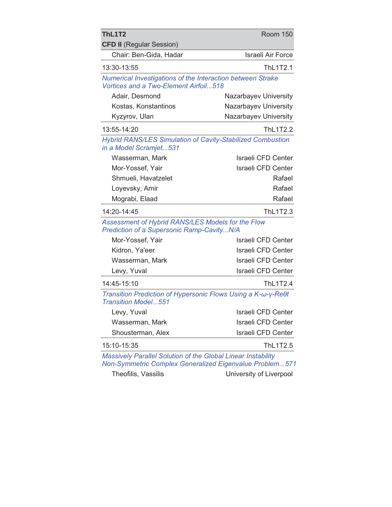| <b>ThL1T2</b><br><b>CFD II</b> (Regular Session)                                                                               | <b>Room 150</b>           |
|--------------------------------------------------------------------------------------------------------------------------------|---------------------------|
| Chair: Ben-Gida, Hadar                                                                                                         | <b>Israeli Air Force</b>  |
| 13:30-13:55                                                                                                                    | ThL1T2.1                  |
| Numerical Investigations of the Interaction between Strake<br>Vortices and a Two-Element Airfoil518                            |                           |
| Adair, Desmond                                                                                                                 | Nazarbayev University     |
| Kostas, Konstantinos                                                                                                           | Nazarbayev University     |
| Kyzyrov, Ulan                                                                                                                  | Nazarbayev University     |
| 13:55-14:20                                                                                                                    | <b>ThL1T2.2</b>           |
| Hybrid RANS/LES Simulation of Cavity-Stabilized Combustion<br>in a Model Scramjet531                                           |                           |
| Wasserman, Mark                                                                                                                | Israeli CFD Center        |
| Mor-Yossef, Yair                                                                                                               | <b>Israeli CFD Center</b> |
| Shmueli, Havatzelet                                                                                                            | Rafael                    |
| Loyevsky, Amir                                                                                                                 | Rafael                    |
| Mograbi, Elaad                                                                                                                 | Rafael                    |
| 14:20-14:45                                                                                                                    | ThL1T2.3                  |
| Assessment of Hybrid RANS/LES Models for the Flow<br>Prediction of a Supersonic Ramp-CavityN/A                                 |                           |
| Mor-Yossef, Yair                                                                                                               | Israeli CFD Center        |
| Kidron, Ya'eer                                                                                                                 | <b>Israeli CFD Center</b> |
| Wasserman, Mark                                                                                                                | Israeli CFD Center        |
| Levy, Yuval                                                                                                                    | <b>Israeli CFD Center</b> |
| 14:45-15:10                                                                                                                    | ThL1T2.4                  |
| Transition Prediction of Hypersonic Flows Using a K-ω-γ-Reθt<br><b>Transition Model551</b>                                     |                           |
| Levy, Yuval                                                                                                                    | Israeli CFD Center        |
| Wasserman, Mark                                                                                                                | <b>Israeli CFD Center</b> |
| Shousterman, Alex                                                                                                              | <b>Israeli CFD Center</b> |
| 15:10-15:35                                                                                                                    | ThL1T2.5                  |
| Massively Parallel Solution of the Global Linear Instability<br><b>Non-Symmetric Complex Generalized Eigenvalue Problem571</b> |                           |
| Theofilis, Vassilis                                                                                                            | University of Liverpool   |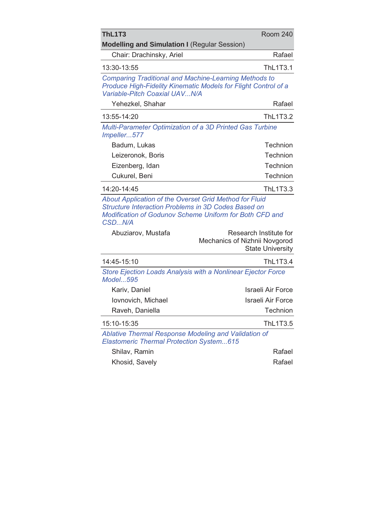| <b>ThL1T3</b><br><b>Modelling and Simulation I (Regular Session)</b>                                                                                                                      | <b>Room 240</b>                                                                    |
|-------------------------------------------------------------------------------------------------------------------------------------------------------------------------------------------|------------------------------------------------------------------------------------|
| Chair: Drachinsky, Ariel                                                                                                                                                                  | Rafael                                                                             |
| 13:30-13:55                                                                                                                                                                               | <b>ThL1T3.1</b>                                                                    |
| <b>Comparing Traditional and Machine-Learning Methods to</b><br>Produce High-Fidelity Kinematic Models for Flight Control of a<br>Variable-Pitch Coaxial UAVN/A                           |                                                                                    |
| Yehezkel, Shahar                                                                                                                                                                          | Rafael                                                                             |
| 13:55-14:20                                                                                                                                                                               | <b>ThL1T3.2</b>                                                                    |
| Multi-Parameter Optimization of a 3D Printed Gas Turbine<br>Impeller577                                                                                                                   |                                                                                    |
| Badum, Lukas                                                                                                                                                                              | Technion                                                                           |
| Leizeronok, Boris                                                                                                                                                                         | Technion                                                                           |
| Eizenberg, Idan                                                                                                                                                                           | Technion                                                                           |
| Cukurel, Beni                                                                                                                                                                             | Technion                                                                           |
| 14:20-14:45                                                                                                                                                                               | ThL1T3.3                                                                           |
| About Application of the Overset Grid Method for Fluid<br><b>Structure Interaction Problems in 3D Codes Based on</b><br>Modification of Godunov Scheme Uniform for Both CFD and<br>CSDN/A |                                                                                    |
| Abuziarov, Mustafa                                                                                                                                                                        | Research Institute for<br>Mechanics of Nizhnii Novgorod<br><b>State University</b> |
| 14:45-15:10                                                                                                                                                                               | <b>ThL1T3.4</b>                                                                    |
| Store Ejection Loads Analysis with a Nonlinear Ejector Force<br>Model595                                                                                                                  |                                                                                    |
| Kariv, Daniel                                                                                                                                                                             | Israeli Air Force                                                                  |
| Iovnovich, Michael                                                                                                                                                                        | Israeli Air Force                                                                  |
| Raveh, Daniella                                                                                                                                                                           | Technion                                                                           |
| 15:10-15:35                                                                                                                                                                               | ThL1T3.5                                                                           |
| Ablative Thermal Response Modeling and Validation of<br>Elastomeric Thermal Protection System615                                                                                          |                                                                                    |
| Shilav, Ramin                                                                                                                                                                             | Rafael                                                                             |
| Khosid, Savely                                                                                                                                                                            | Rafael                                                                             |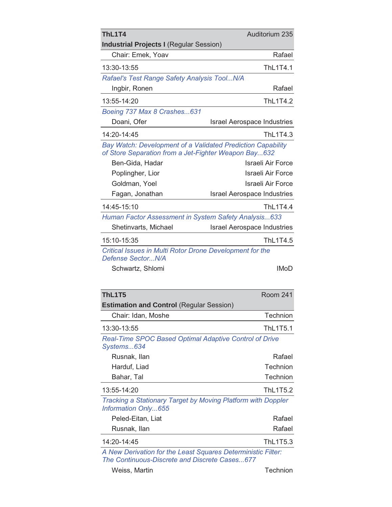| ThL1T4<br><b>Industrial Projects I (Regular Session)</b>                                                            | Auditorium 235                     |
|---------------------------------------------------------------------------------------------------------------------|------------------------------------|
| Chair: Emek, Yoav                                                                                                   | Rafael                             |
| 13:30-13:55                                                                                                         | <b>ThL1T4.1</b>                    |
| Rafael's Test Range Safety Analysis ToolN/A                                                                         |                                    |
| Ingbir, Ronen                                                                                                       | Rafael                             |
| 13:55-14:20                                                                                                         | <b>ThL1T4.2</b>                    |
| Boeing 737 Max 8 Crashes631                                                                                         |                                    |
| Doani, Ofer                                                                                                         | <b>Israel Aerospace Industries</b> |
| 14:20-14:45                                                                                                         | ThL1T4.3                           |
| Bay Watch: Development of a Validated Prediction Capability<br>of Store Separation from a Jet-Fighter Weapon Bay632 |                                    |
| Ben-Gida, Hadar                                                                                                     | Israeli Air Force                  |
| Poplingher, Lior                                                                                                    | Israeli Air Force                  |
| Goldman, Yoel                                                                                                       | Israeli Air Force                  |
| Fagan, Jonathan                                                                                                     | <b>Israel Aerospace Industries</b> |
| 14:45-15:10                                                                                                         | ThL1T4.4                           |
| Human Factor Assessment in System Safety Analysis633                                                                |                                    |
| Shetinvarts, Michael                                                                                                | <b>Israel Aerospace Industries</b> |
| 15:10-15:35                                                                                                         | ThL1T4.5                           |
| Critical Issues in Multi Rotor Drone Development for the<br>Defense SectorN/A                                       |                                    |
| Schwartz, Shlomi                                                                                                    | <b>IMoD</b>                        |
| ThL1T5                                                                                                              | <b>Room 241</b>                    |
| <b>Estimation and Control (Regular Session)</b>                                                                     |                                    |
| Chair: Idan, Moshe                                                                                                  | Technion                           |
| 13:30-13:55                                                                                                         | <b>ThL1T5.1</b>                    |
| Real-Time SPOC Based Optimal Adaptive Control of Drive<br>Systems634                                                |                                    |
| Rusnak, Ilan                                                                                                        | Rafael                             |
| Harduf, Liad                                                                                                        | Technion                           |
| Bahar, Tal                                                                                                          | Technion                           |
| 13:55-14:20                                                                                                         | <b>ThL1T5.2</b>                    |
| Tracking a Stationary Target by Moving Platform with Doppler<br>Information Only655                                 |                                    |
| Peled-Eitan, Liat                                                                                                   | Rafael                             |
| Rusnak, Ilan                                                                                                        | Rafael                             |
| 14:20-14:45                                                                                                         | ThL1T5.3                           |

*A New Derivation for the Least Squares Deterministic Filter: The Continuous-Discrete and Discrete Cases...677*

Weiss, Martin **Technion**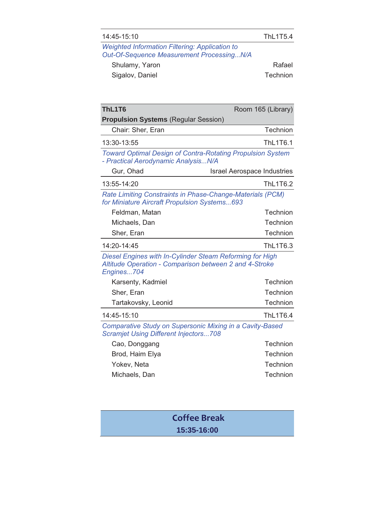| 14:45-15:10                                                                                                                      | <b>ThL1T5.4</b>                    |
|----------------------------------------------------------------------------------------------------------------------------------|------------------------------------|
| <b>Weighted Information Filtering: Application to</b><br><b>Out-Of-Sequence Measurement ProcessingN/A</b>                        |                                    |
| Shulamy, Yaron                                                                                                                   | Rafael                             |
| Sigalov, Daniel                                                                                                                  | Technion                           |
|                                                                                                                                  |                                    |
| ThL1T6                                                                                                                           | Room 165 (Library)                 |
| <b>Propulsion Systems (Regular Session)</b>                                                                                      |                                    |
| Chair: Sher, Eran                                                                                                                | Technion                           |
| 13:30-13:55                                                                                                                      | <b>ThL1T6.1</b>                    |
| <b>Toward Optimal Design of Contra-Rotating Propulsion System</b><br>- Practical Aerodynamic Analysis N/A                        |                                    |
| Gur, Ohad                                                                                                                        | <b>Israel Aerospace Industries</b> |
| 13:55-14:20                                                                                                                      | <b>ThL1T6.2</b>                    |
| Rate Limiting Constraints in Phase-Change-Materials (PCM)<br>for Miniature Aircraft Propulsion Systems693                        |                                    |
| Feldman, Matan                                                                                                                   | Technion                           |
| Michaels, Dan                                                                                                                    | Technion                           |
| Sher, Eran                                                                                                                       | Technion                           |
| 14:20-14:45                                                                                                                      | ThL1T6.3                           |
| Diesel Engines with In-Cylinder Steam Reforming for High<br>Altitude Operation - Comparison between 2 and 4-Stroke<br>Engines704 |                                    |
| Karsenty, Kadmiel                                                                                                                | Technion                           |
| Sher, Eran                                                                                                                       | Technion                           |
| Tartakovsky, Leonid                                                                                                              | Technion                           |
| 14:45-15:10                                                                                                                      | ThL1T6.4                           |
| Comparative Study on Supersonic Mixing in a Cavity-Based<br><b>Scramjet Using Different Injectors708</b>                         |                                    |
| Cao, Donggang                                                                                                                    | Technion                           |
| Brod, Haim Elya                                                                                                                  | Technion                           |
| Yokev, Neta                                                                                                                      | Technion                           |
| Michaels, Dan                                                                                                                    | Technion                           |
|                                                                                                                                  |                                    |

**Coffee Break 15:35-16:00**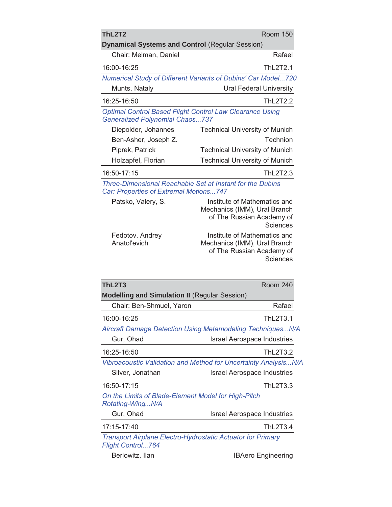| ThL2T2                                                 | <b>Room 150</b>                                                 |
|--------------------------------------------------------|-----------------------------------------------------------------|
| <b>Dynamical Systems and Control (Regular Session)</b> |                                                                 |
| Chair: Melman, Daniel                                  | Rafael                                                          |
| 16:00-16:25                                            | ThL2T2.1                                                        |
|                                                        | Numerical Study of Different Variants of Dubins' Car Model720   |
| Munts, Nataly                                          | <b>Ural Federal University</b>                                  |
| 16:25-16:50                                            | <b>ThL2T2.2</b>                                                 |
| <b>Generalized Polynomial Chaos737</b>                 | <b>Optimal Control Based Flight Control Law Clearance Using</b> |
| Diepolder, Johannes                                    | <b>Technical University of Munich</b>                           |
| Ben-Asher, Joseph Z.                                   | Technion                                                        |
| Piprek, Patrick                                        | <b>Technical University of Munich</b>                           |
| Holzapfel, Florian                                     | <b>Technical University of Munich</b>                           |
| 16:50-17:15                                            | ThL2T2.3                                                        |

*Three-Dimensional Reachable Set at Instant for the Dubins Car: Properties of Extremal Motions...747*

| Patsko, Valery, S.              | Institute of Mathematics and<br>Mechanics (IMM), Ural Branch<br>of The Russian Academy of<br><b>Sciences</b> |
|---------------------------------|--------------------------------------------------------------------------------------------------------------|
| Fedotov, Andrey<br>Anatol'evich | Institute of Mathematics and<br>Mechanics (IMM), Ural Branch<br>of The Russian Academy of<br><b>Sciences</b> |

| ThL2T3                                                                                         | <b>Room 240</b>                    |
|------------------------------------------------------------------------------------------------|------------------------------------|
| <b>Modelling and Simulation II (Regular Session)</b>                                           |                                    |
| Chair: Ben-Shmuel, Yaron                                                                       | Rafael                             |
| 16:00-16:25                                                                                    | ThL2T3.1                           |
| Aircraft Damage Detection Using Metamodeling TechniquesN/A                                     |                                    |
| Gur, Ohad                                                                                      | <b>Israel Aerospace Industries</b> |
| 16:25-16:50                                                                                    | <b>ThL2T3.2</b>                    |
| Vibroacoustic Validation and Method for Uncertainty AnalysisN/A                                |                                    |
| Silver, Jonathan                                                                               | <b>Israel Aerospace Industries</b> |
| 16:50-17:15                                                                                    | <b>ThL2T3.3</b>                    |
| On the Limits of Blade-Element Model for High-Pitch<br>Rotating-WingN/A                        |                                    |
| Gur, Ohad                                                                                      | <b>Israel Aerospace Industries</b> |
| 17:15-17:40                                                                                    | <b>ThL2T3.4</b>                    |
| <b>Transport Airplane Electro-Hydrostatic Actuator for Primary</b><br><b>Flight Control764</b> |                                    |

Berlowitz, Ilan IBAero Engineering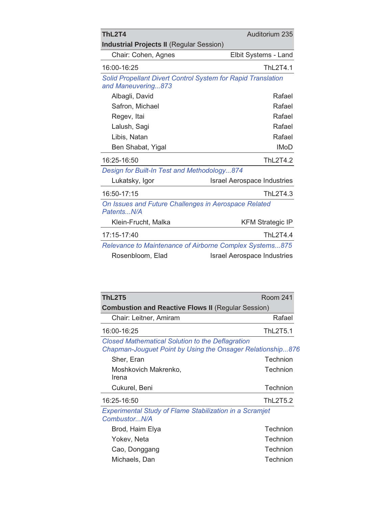| ThL2T4                                                                             | Auditorium 235                     |
|------------------------------------------------------------------------------------|------------------------------------|
| <b>Industrial Projects II (Regular Session)</b>                                    |                                    |
| Chair: Cohen, Agnes                                                                | Elbit Systems - Land               |
| 16:00-16:25                                                                        | ThL2T4.1                           |
| Solid Propellant Divert Control System for Rapid Translation<br>and Maneuvering873 |                                    |
| Albagli, David                                                                     | Rafael                             |
| Safron, Michael                                                                    | Rafael                             |
| Regev, Itai                                                                        | Rafael                             |
| Lalush, Sagi                                                                       | Rafael                             |
| Libis, Natan                                                                       | Rafael                             |
| Ben Shabat, Yigal                                                                  | <b>IMoD</b>                        |
| 16:25-16:50                                                                        | <b>ThL2T4.2</b>                    |
| Design for Built-In Test and Methodology874                                        |                                    |
| Lukatsky, Igor                                                                     | <b>Israel Aerospace Industries</b> |
| 16:50-17:15                                                                        | ThL2T4.3                           |
| On Issues and Future Challenges in Aerospace Related<br>PatentsN/A                 |                                    |
| Klein-Frucht, Malka                                                                | <b>KFM Strategic IP</b>            |
| 17:15-17:40                                                                        | <b>ThL2T4.4</b>                    |
| Relevance to Maintenance of Airborne Complex Systems875                            |                                    |
| Rosenbloom, Elad                                                                   | <b>Israel Aerospace Industries</b> |

| <b>ThL2T5</b><br><b>Room 241</b>                                                                                      |                 |  |  |  |
|-----------------------------------------------------------------------------------------------------------------------|-----------------|--|--|--|
| <b>Combustion and Reactive Flows II (Regular Session)</b>                                                             |                 |  |  |  |
| Chair: Leitner, Amiram                                                                                                | Rafael          |  |  |  |
| 16:00-16:25                                                                                                           | <b>ThL2T5.1</b> |  |  |  |
| <b>Closed Mathematical Solution to the Deflagration</b><br>Chapman-Jouguet Point by Using the Onsager Relationship876 |                 |  |  |  |
| Sher, Eran                                                                                                            | Technion        |  |  |  |
| Moshkovich Makrenko,<br>Irena                                                                                         | Technion        |  |  |  |
| Cukurel, Beni                                                                                                         | Technion        |  |  |  |
| 16:25-16:50                                                                                                           | <b>ThL2T5.2</b> |  |  |  |
| <b>Experimental Study of Flame Stabilization in a Scramjet</b><br>CombustorN/A                                        |                 |  |  |  |

| Brod, Haim Elya | Technion |
|-----------------|----------|
| Yokev, Neta     | Technion |
| Cao, Donggang   | Technion |
| Michaels, Dan   | Technion |